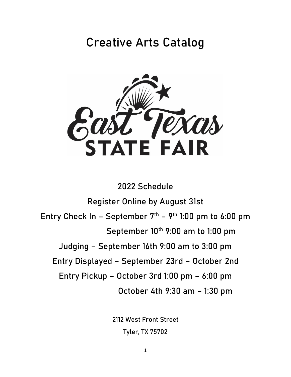# **Creative Arts Catalog**



# **2022 Schedule**

**Register Online by August 31st Entry Check In – September 7 th – 9 th 1:00 pm to 6:00 pm September 10 th 9:00 am to 1:00 pm Judging – September 16th 9:00 am to 3:00 pm Entry Displayed – September 23rd – October 2nd Entry Pickup – October 3rd 1:00 pm – 6:00 pm October 4th 9:30 am – 1:30 pm**

> **2112 West Front Street Tyler, TX 75702**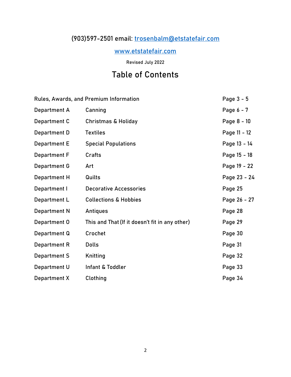# **(903)597-2501 email: [trosenbalm@etstatefair.com](mailto:trosenbalm@etstatefair.com)**

# **[www.etstatefair.com](http://www.etstatefair.com/)**

**Revised July 2022**

# **Table of Contents**

| Rules, Awards, and Premium Information |                                                | Page 3 - 5   |
|----------------------------------------|------------------------------------------------|--------------|
| Department A                           | Canning                                        | Page 6 - 7   |
| Department C                           | <b>Christmas &amp; Holiday</b>                 | Page 8 - 10  |
| Department D                           | <b>Textiles</b>                                | Page 11 - 12 |
| <b>Department E</b>                    | <b>Special Populations</b>                     | Page 13 - 14 |
| Department F                           | Crafts                                         | Page 15 - 18 |
| Department G                           | Art                                            | Page 19 - 22 |
| Department H                           | Quilts                                         | Page 23 - 24 |
| Department I                           | <b>Decorative Accessories</b>                  | Page 25      |
| Department L                           | <b>Collections &amp; Hobbies</b>               | Page 26 - 27 |
| Department N                           | Antiques                                       | Page 28      |
| Department 0                           | This and That (If it doesn't fit in any other) | Page 29      |
| Department Q                           | Crochet                                        | Page 30      |
| Department R                           | <b>Dolls</b>                                   | Page 31      |
| Department S                           | Knitting                                       | Page 32      |
| Department U                           | Infant & Toddler                               | Page 33      |
| Department X                           | Clothing                                       | Page 34      |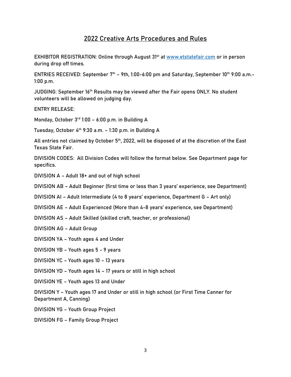# **2022 Creative Arts Procedures and Rules**

**EXHIBITOR REGISTRATION: Online through August 31<sup>st</sup> at [www.etstatefair.com](http://www.etstatefair.com/) or in person** during drop off times.

ENTRIES RECEIVED: September 7<sup>th</sup> – 9th, 1:00-6:00 pm and Saturday, September 10<sup>th</sup> 9:00 a.m.-1:00 p.m.

JUDGING: September 16<sup>th</sup> Results may be viewed after the Fair opens ONLY. No student **volunteers will be allowed on judging day.** 

**ENTRY RELEASE:**

Monday, October  $3<sup>rd</sup>$  1:00 - 6:00 p.m. in Building A

Tuesday, October 4 th 9:30 a.m. – 1:30 p.m. in Building A

All entries not claimed by October 5<sup>th</sup>, 2022, will be disposed of at the discretion of the East Texas State Fair.

**DIVISION CODES:** All Division Codes will follow the format below. See Department page for specifics.

DIVISION A – Adult 18+ and out of high school

DIVISION AB – Adult Beginner (first time or less than 3 years' experience, see Department)

DIVISION AI – Adult Intermediate (4 to 8 years' experience, Department G – Art only)

DIVISION AE – Adult Experienced (More than 4-8 years' experience, see Department)

DIVISION AS – Adult Skilled (skilled craft, teacher, or professional)

DIVISION AG – Adult Group

DIVISION YA – Youth ages 4 and Under

DIVISION YB – Youth ages 5 - 9 years

DIVISION YC – Youth ages 10 – 13 years

DIVISION YD – Youth ages 14 – 17 years or still in high school

DIVISION YE – Youth ages 13 and Under

DIVISION Y – Youth ages 17 and Under or still in high school (or First Time Canner for Department A, Canning)

DIVISION YG – Youth Group Project

DIVISION FG – Family Group Project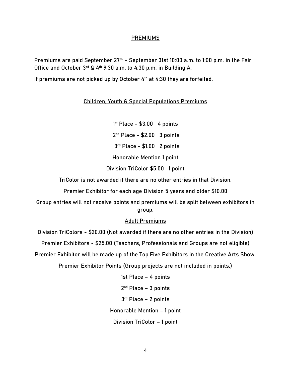#### **PREMIUMS**

Premiums are paid September  $27<sup>th</sup>$  – September 31st 10:00 a.m. to 1:00 p.m. in the Fair Office and October 3rd & 4<sup>th</sup> 9:30 a.m. to 4:30 p.m. in Building A.

If premiums are not picked up by October 4<sup>th</sup> at 4:30 they are forfeited.

# **Children, Youth & Special Populations Premiums**

1 st Place - \$3.00 4 points 2<sup>nd</sup> Place - \$2.00 3 points 3 rd Place - \$1.00 2 points Honorable Mention 1 point

Division TriColor \$5.00 1 point

TriColor is not awarded if there are no other entries in that Division.

Premier Exhibitor for each age Division 5 years and older \$10.00

Group entries will not receive points and premiums will be split between exhibitors in group.

# **Adult Premiums**

Division TriColors - \$20.00 (Not awarded if there are no other entries in the Division)

Premier Exhibitors - \$25.00 (Teachers, Professionals and Groups are not eligible)

Premier Exhibitor will be made up of the Top Five Exhibitors in the Creative Arts Show.

Premier Exhibitor Points (Group projects are not included in points.)

1st Place – 4 points

2<sup>nd</sup> Place - 3 points

3 rd Place – 2 points

Honorable Mention – 1 point

Division TriColor – 1 point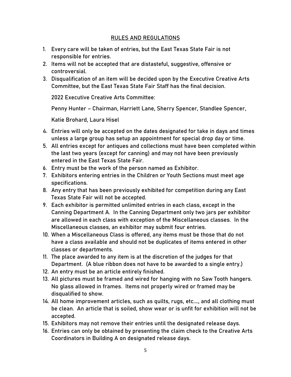# **RULES AND REGULATIONS**

- 1. Every care will be taken of entries, but the East Texas State Fair is not responsible for entries.
- 2. Items will not be accepted that are distasteful, suggestive, offensive or controversial.
- 3. Disqualification of an item will be decided upon by the Executive Creative Arts Committee, but the East Texas State Fair Staff has the final decision.

2022 Executive Creative Arts Committee:

Penny Hunter – Chairman, Harriett Lane, Sherry Spencer, Standlee Spencer,

Katie Brohard, Laura Hisel

- 4. **Entries will only be accepted on the dates designated for take in days and times** unless a large group has setup an appointment for special drop day or time.
- 5. All entries except for antiques and collections must have been completed within the last two years (except for canning) and may not have been previously entered in the East Texas State Fair.
- 6. Entry must be the work of the person named as Exhibitor.
- 7. Exhibitors entering entries in the Children or Youth Sections must meet age specifications.
- 8. Any entry that has been previously exhibited for competition during any East Texas State Fair will not be accepted.
- 9. Each exhibitor is permitted unlimited entries in each class, except in the Canning Department A. In the Canning Department only two jars per exhibitor are allowed in each class with exception of the Miscellaneous classes. In the Miscellaneous classes, an exhibitor may submit four entries.
- 10. When a Miscellaneous Class is offered, any items must be those that do not have a class available and should not be duplicates of items entered in other classes or departments.
- 11. The place awarded to any item is at the discretion of the judges for that Department. (A blue ribbon does not have to be awarded to a single entry.)
- 12. An entry must be an article entirely finished.
- 13. All pictures must be framed and wired for hanging with no Saw Tooth hangers. No glass allowed in frames. Items not properly wired or framed may be disqualified to show.
- 14. All home improvement articles, such as quilts, rugs, etc.…, and all clothing must be clean. An article that is soiled, show wear or is unfit for exhibition will not be accepted.
- 15. Exhibitors may not remove their entries until the designated release days.
- 16. Entries can only be obtained by presenting the claim check to the Creative Arts Coordinators in Building A on designated release days.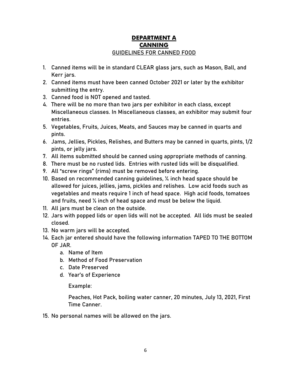# **DEPARTMENT A CANNING GUIDELINES FOR CANNED FOOD**

- 1. Canned items will be in standard **CLEAR** glass jars, such as Mason, Ball, and Kerr jars.
- **2.** Canned items must have **been canned October 2021 or later by the exhibitor submitting the entry.**
- **3.** Canned food is NOT opened and tasted.
- **4.** There will be no more than two jars per exhibitor in each class, except Miscellaneous classes. In Miscellaneous classes, an exhibitor may submit four entries.
- **5.** Vegetables, Fruits, Juices, Meats, and Sauces may be canned in quarts and pints.
- **6.** Jams, Jellies, Pickles, Relishes, and Butters may be canned in quarts, pints, 1/2 pints, or jelly jars.
- **7.** All items submitted should be canned using appropriate methods of canning.
- **8.** There must be no rusted lids. Entries with rusted lids will be disqualified.
- **9.** All "screw rings" (rims) must be removed before entering.
- **10.** Based on recommended canning guidelines, ¼ inch head space should be allowed for juices, jellies, jams, pickles and relishes. Low acid foods such as vegetables and meats require 1 inch of head space. High acid foods, tomatoes and fruits, need ½ inch of head space and must be below the liquid.
- **11.** All jars must be clean on the outside.
- **12.** Jars with popped lids or open lids will not be accepted. All lids must be sealed closed.
- **13.** No warm jars will be accepted.
- **14.** Each jar entered should have the following information **TAPED TO THE BOTTOM OF JAR.**
	- a. Name of Item
	- b. Method of Food Preservation
	- c. Date Preserved
	- d. Year's of Experience

# Example:

Peaches, Hot Pack, boiling water canner, 20 minutes, July 13, 2021, First Time Canner.

15. No personal names will be allowed on the jars.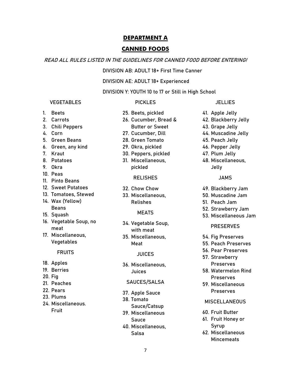#### **CANNED FOODS**

#### **READ ALL RULES LISTED IN THE GUIDELINES FOR CANNED FOOD BEFORE ENTERING!**

**DIVISION AB: ADULT 18+ First Time Canner**

**DIVISION AE: ADULT 18+ Experienced**

**DIVISION Y: YOUTH 10 to 17 or Still in High School**

#### **VEGETABLES**

#### **PICKLES**

- 1. Beets
- 2. Carrots
- 3. Chili Peppers
- 4. Corn
- 5. Green Beans
- 6. Green, any kind
- 7. Kraut
- 8. Potatoes
- 9. Okra
- 10. Peas
- 11. Pinto Beans
- 12. Sweet Potatoes
- 13. Tomatoes, Stewed
- 14. Wax (Yellow) Beans
- 15. Squash
- 
- 16. Vegetable Soup, no meat
- 17. Miscellaneous, Vegetables

#### **FRUITS**

- 18. Apples
- 19. Berries
- 20. Fig
- 21. Peaches
- 22. Pears
- 23. Plums
- 24. Miscellaneous. Fruit
- 25. Beets, pickled 26. Cucumber, Bread & Butter or Sweet
- 27. Cucumber, Dill
- 28. Green Tomato
- 29. Okra, pickled
- 30. Peppers, pickled
- 31. Miscellaneous, pickled

#### **RELISHES**

- 32. Chow Chow
- 33. Miscellaneous, Relishes
	- **MEATS**
- 34. Vegetable Soup, with meat
- 35. Miscellaneous, Meat

#### **JUICES**

36. Miscellaneous, Juices

#### **SAUCES/SALSA**

- 37. Apple Sauce
- 38. Tomato
- Sauce/Catsup 39. Miscellaneous
	- Sauce
- 40. Miscellaneous, Salsa
- 
- 41. Apple Jelly
- 42. Blackberry Jelly
- 43. Grape Jelly
- 44. Muscadine Jelly
- 45. Peach Jelly
- 46. Pepper Jelly
- 47. Plum Jelly
- 48. Miscellaneous, Jelly

#### **JAMS**

- 49. Blackberry Jam
- 50. Muscadine Jam
- 51. Peach Jam
- 52. Strawberry Jam
- 53. Miscellaneous Jam

#### **PRESERVES**

- 54. Fig Preserves
- 55. Peach Preserves
- 56. Pear Preserves 57. Strawberry
- Preserves
- 58. Watermelon Rind Preserves
- 59. Miscellaneous Preserves

### **MISCELLANEOUS**

- 60. Fruit Butter
- 61. Fruit Honey or Syrup
- 62. Miscellaneous **Mincemeats**

#### **JELLIES**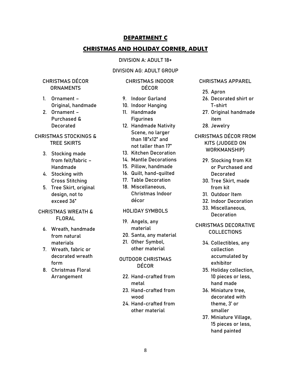# **CHRISTMAS AND HOLIDAY CORNER, ADULT**

#### **DIVISION A: ADULT 18+**

#### **DIVISION AG: ADULT GROUP**

# **CHRISTMAS DÉCOR ORNAMENTS**

- 1. Ornament Original, handmade
- 2. Ornament Purchased & Decorated

# **CHRISTMAS STOCKINGS & TREE SKIRTS**

- 3. Stocking made from felt/fabric – Handmade
- 4. Stocking with Cross Stitching
- 5. Tree Skirt, original design, not to exceed 36"

#### **CHRISTMAS WREATH & FLORAL**

- 6. Wreath, handmade from natural materials
- 7. Wreath, fabric or decorated wreath form
- 8. Christmas Floral Arrangement

#### **CHRISTMAS INDOOR DÉCOR**

- 9. Indoor Garland
- 10. Indoor Hanging
- 11. Handmade **Figurines**
- 12. Handmade Nativity Scene, no larger than 18"x12" and not taller than 17"
- 13. Kitchen Decoration
- 14. Mantle Decorations
- 15. Pillow, handmade
- 16. Quilt, hand-quilted
- 17. Table Decoration
- 18. Miscellaneous, Christmas Indoor décor

#### **HOLIDAY SYMBOLS**

- 19. Angels, any material
- 20. Santa, any material
- 21. Other Symbol, other material

# **OUTDOOR CHRISTMAS DÉCOR**

- 22. Hand-crafted from metal
- 23. Hand-crafted from wood
- 24. Hand-crafted from other material

#### **CHRISTMAS APPAREL**

- 25. Apron
- 26. Decorated shirt or T-shirt
- 27. Original handmade item
- 28. Jewelry
- **CHRISTMAS DÉCOR FROM KITS (JUDGED ON WORKMANSHIP)**
	- 29. Stocking from Kit or Purchased and Decorated
	- 30. Tree Skirt, made from kit
	- 31. Outdoor Item
	- 32. Indoor Decoration
	- 33. Miscellaneous, **Decoration**

# **CHRISTMAS DECORATIVE COLLECTIONS**

- 34. Collectibles, any collection accumulated by exhibitor
- 35. Holiday collection, 10 pieces or less, hand made
- 36. Miniature tree, decorated with theme, 3' or smaller
- 37. Miniature Village, 15 pieces or less, hand painted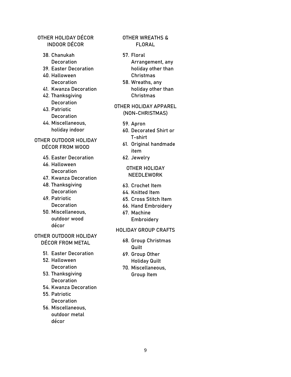# **OTHER HOLIDAY DÉCOR INDOOR DÉCOR**

- 38. Chanukah Decoration
- 39. Easter Decoration
- 40. Halloween **Decoration**
- 41. Kwanza Decoration
- 42. Thanksgiving **Decoration**
- 43. Patriotic **Decoration**
- 44. Miscellaneous, holiday indoor

# **OTHER OUTDOOR HOLIDAY DÉCOR FROM WOOD**

- 45. Easter Decoration
- 46. Halloween **Decoration**
- 47. Kwanza Decoration
- 48. Thanksgiving **Decoration**
- 49. Patriotic **Decoration**
- 50. Miscellaneous, outdoor wood décor

# **OTHER OUTDOOR HOLIDAY DÉCOR FROM METAL**

- 51. Easter Decoration
- 52. Halloween **Decoration**
- 53. Thanksgiving **Decoration**
- 54. Kwanza Decoration
- 55. Patriotic **Decoration**
- 56. Miscellaneous, outdoor metal décor

# **OTHER WREATHS & FLORAL**

- 57. Floral Arrangement, any holiday other than Christmas
- 58. Wreaths, any holiday other than Christmas

### **OTHER HOLIDAY APPAREL (NON-CHRISTMAS)**

- 59. Apron
- 60. Decorated Shirt or T-shirt
- 61. Original handmade item
- 62. Jewelry

# **OTHER HOLIDAY NEEDLEWORK**

- 63. Crochet Item
- 64. Knitted Item
- 65. Cross Stitch Item
- 66. Hand Embroidery
- 67. Machine **Embroidery**

#### **HOLIDAY GROUP CRAFTS**

- 68. Group Christmas **Quilt**
- 69. Group Other Holiday Quilt
- 70. Miscellaneous, Group Item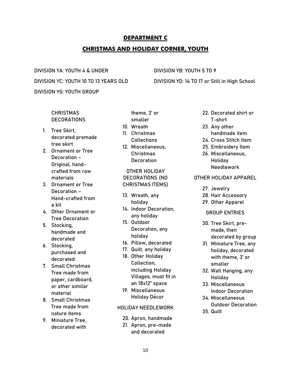# **DEPARTMENT C CHRISTMAS AND HOLIDAY CORNER, YOUTH**

**DIVISION YA: YOUTH 4 & UNDER DIVISION YB: YOUTH 5 TO 9 DIVISION YG: YOUTH GROUP**

**DIVISION YC: YOUTH 10 TO 13 YEARS OLD DIVISION YD: 14 TO 17 or Still in High School**

## **CHRISTMAS DECORATIONS**

- 1. Tree Skirt, decorated premade tree skirt
- 2. Ornament or Tree Decoration – Original, handcrafted from raw materials
- 3. Ornament or Tree Decoration – Hand-crafted from a kit
- 4. Other Ornament or Tree Decoration
- 5. Stocking, handmade and decorated
- 6. Stocking, purchased and decorated
- 7. Small Christmas Tree made from paper, cardboard, or other similar material
- 8. Small Christmas Tree made from nature items
- 9. Miniature Tree, decorated with

theme, 3' or smaller

- 10. Wreath
- 11. Christmas Collections
- 12. Miscellaneous, Christmas **Decoration**

**OTHER HOLIDAY DECORATIONS (NO CHRISTMAS ITEMS)**

- 13. Wreath, any holiday
- 14. Indoor Decoration, any holiday
- 15. Outdoor Decoration, any holiday
- 16. Pillow, decorated
- 17. Quilt, any holiday
- 18. Other Holiday Collection, including Holiday Villages, must fit in an 18x12" space
- 19. Miscellaneous Holiday Décor

#### **HOLIDAY NEEDLEWORK**

- 20. Apron, handmade
- 21. Apron, pre-made and decorated
- 22. Decorated shirt or T-shirt
- 23. Any other handmade item
- 24. Cross Stitch Item
- 25. Embroidery Item 26. Miscellaneous, Holiday Needlework

## **OTHER HOLIDAY APPAREL**

- 27. Jewelry
- 28. Hair Accessory
- 29. Other Apparel

#### **GROUP ENTRIES**

- 30. Tree Skirt, premade, then decorated by group
- 31. Miniature Tree, any holiday, decorated with theme, 3' or smaller
- 32. Wall Hanging, any Holiday
- 33. Miscellaneous Indoor Decoration
- 34. Miscellaneous Outdoor Decoration
- 35. Quilt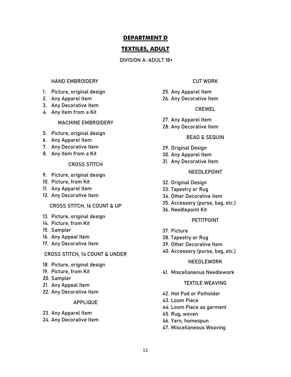# **TEXTILES, ADULT**

#### **DIVISION A: ADULT 18+**

#### **HAND EMBROIDERY**

- 1. Picture, original design
- 2. Any Apparel Item
- 3. Any Decorative Item
- 4. Any Item from a Kit

#### **MACHINE EMBROIDERY**

- 5. Picture, original design
- 6. Any Apparel Item
- 7. Any Decorative Item
- 8. Any Item from a Kit

#### **CROSS STITCH**

- 9. Picture, original design
- 10. Picture, from Kit
- 11. Any Apparel Item
- 12. Any Decorative Item

#### **CROSS STITCH, 16 COUNT & UP**

- 13. Picture, original design
- 14. Picture, from Kit
- 15. Sampler
- 16. Any Appeal Item
- 17. Any Decorative Item

#### **CROSS STITCH, 14 COUNT & UNDER**

- 18. Picture, original design
- 19. Picture, from Kit
- 20. Sampler
- 21. Any Appeal Item
- 22. Any Decorative Item

#### **APPLIQUE**

- 23. Any Apparel Item
- 24. Any Decorative Item

### **CUT WORK**

- 25. Any Apparel Item
- 26. Any Decorative Item

#### **CREWEL**

- 27. Any Apparel Item
- 28. Any Decorative Item

#### **BEAD & SEQUIN**

- 29. Original Design
- 30. Any Apparel Item
- 31. Any Decorative Item

#### **NEEDLEPOINT**

- 32. Original Design
- 33. Tapestry or Rug
- 34. Other Decorative item
- 35. Accessory (purse, bag, etc.)
- 36. Needlepoint Kit

#### **PETITPOINT**

- 37. Picture
- 38. Tapestry or Rug
- 39. Other Decorative Item
- 40. Accessory (purse, bag, etc.)

#### **NEEDLEWORK**

41. Miscellaneous Needlework

#### **TEXTILE WEAVING**

- 42. Hot Pad or Potholder
- 43. Loom Piece
- 44. Loom Piece as garment
- 45. Rug, woven
- 46. Yarn, homespun
- 47. Miscellaneous Weaving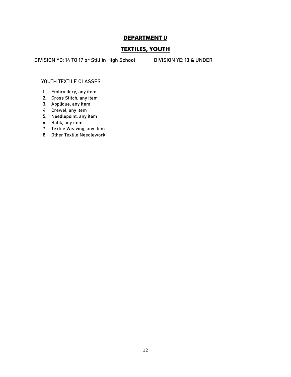# **TEXTILES, YOUTH**

**DIVISION YD: 14 TO 17 or Still in High School DIVISION YE: 13 & UNDER**

#### **YOUTH TEXTILE CLASSES**

- 1. Embroidery, any item
- 2. Cross Stitch, any item
- 3. Applique, any item
- 4. Crewel, any item
- 5. Needlepoint, any item
- 6. Batik, any item
- 7. Textile Weaving, any item
- 8. Other Textile Needlework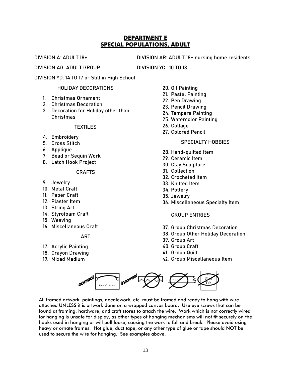# **DEPARTMENT E SPECIAL POPULATIONS, ADULT**

**DIVISION A: ADULT 18+ DIVISION AR: ADULT 18+ nursing home residents**

**DIVISION AG: ADULT GROUP DIVISION YC : 10 TO 13** 

**DIVISION YD: 14 TO 17 or Still in High School**

#### **HOLIDAY DECORATIONS**

- 1. Christmas Ornament
- 2. Christmas Decoration
- 3. Decoration for Holiday other than Christmas

## **TEXTILES**

- 4. Embroidery
- 5. Cross Stitch
- 6. Applique
- 7. Bead or Sequin Work
- 8. Latch Hook Project

#### **CRAFTS**

- 9. Jewelry
- 10. Metal Craft
- 11. Paper Craft
- 12. Plaster Item
- 13. String Art
- 14. Styrofoam Craft
- 15. Weaving
- 16. Miscellaneous Craft

#### **ART**

- 17. Acrylic Painting
- 18. Crayon Drawing
- 19. Mixed Medium
- 20. Oil Painting
- 21. Pastel Painting
- 22. Pen Drawing
- 23. Pencil Drawing
- 24. Tempera Painting
- 25. Watercolor Painting
- 26. Collage
- 27. Colored Pencil

#### **SPECIALTY HOBBIES**

- 28. Hand-quilted Item
- 29. Ceramic Item
- 30. Clay Sculpture
- 31. Collection
- 32. Crocheted Item
- 33. Knitted Item
- 34. Pottery
- 35. Jewelry
- 36. Miscellaneous Specialty Item

#### **GROUP ENTRIES**

- 37. Group Christmas Decoration
- 38. Group Other Holiday Decoration
- 39. Group Art
- 40. Group Craft
- 41. Group Quilt
- 42. Group Miscellaneous Item



All framed artwork, paintings, needlework, etc. must be framed and ready to hang with wire attached UNLESS it is artwork done on a wrapped canvas board. Use eye screws that can be found at framing, hardware, and craft stores to attach the wire. Work which is not correctly wired for hanging is unsafe for display, as other types of hanging mechanisms will not fit securely on the hooks used in hanging or will pull loose, causing the work to fall and break. Please avoid using heavy or ornate frames. Hot glue, duct tape, or any other type of glue or tape should NOT be used to secure the wire for hanging. See examples above.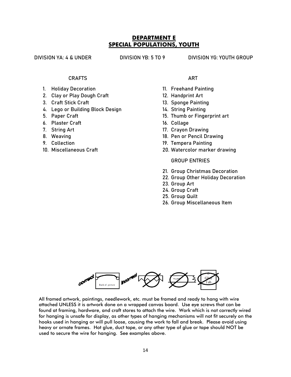# **DEPARTMENT E SPECIAL POPULATIONS, YOUTH**

**DIVISION YA: 4 & UNDER DIVISION YB: 5 TO 9 DIVISION YG: YOUTH GROUP**

#### **CRAFTS**

- 1. Holiday Decoration
- 2. Clay or Play Dough Craft
- 3. Craft Stick Craft
- 4. Lego or Building Block Design
- 5. Paper Craft
- 6. Plaster Craft
- 7. String Art
- 8. Weaving
- 9. Collection
- 10. Miscellaneous Craft

## **ART**

- 11. Freehand Painting
- 12. Handprint Art
- 13. Sponge Painting
- 14. String Painting
- 15. Thumb or Fingerprint art
- 16. Collage
- 17. Crayon Drawing
- 18. Pen or Pencil Drawing
- 19. Tempera Painting
- 20. Watercolor marker drawing

#### **GROUP ENTRIES**

- 21. Group Christmas Decoration
- 22. Group Other Holiday Decoration
- 23. Group Art
- 24. Group Craft
- 25. Group Quilt
- 26. Group Miscellaneous Item



All framed artwork, paintings, needlework, etc. must be framed and ready to hang with wire attached UNLESS it is artwork done on a wrapped canvas board. Use eye screws that can be found at framing, hardware, and craft stores to attach the wire. Work which is not correctly wired for hanging is unsafe for display, as other types of hanging mechanisms will not fit securely on the hooks used in hanging or will pull loose, causing the work to fall and break. Please avoid using heavy or ornate frames. Hot glue, duct tape, or any other type of glue or tape should NOT be used to secure the wire for hanging. See examples above.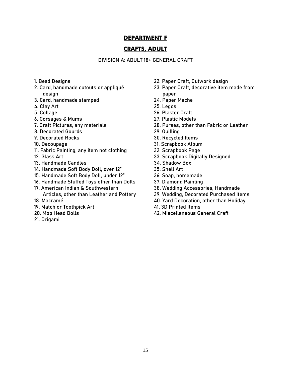# **CRAFTS, ADULT**

**DIVISION A: ADULT 18+ GENERAL CRAFT**

- 1. Bead Designs
- 2. Card, handmade cutouts or appliqué design
- 3. Card, handmade stamped
- 4. Clay Art
- 5. Collage
- 6. Corsages & Mums
- 7. Craft Pictures, any materials
- 8. Decorated Gourds
- 9. Decorated Rocks
- 10. Decoupage
- 11. Fabric Painting, any item not clothing
- 12. Glass Art
- 13. Handmade Candles
- 14. Handmade Soft Body Doll, over 12"
- 15. Handmade Soft Body Doll, under 12"
- 16. Handmade Stuffed Toys other than Dolls
- 17. American Indian & Southwestern
- Articles, other than Leather and Pottery
- 18. Macramé
- 19. Match or Toothpick Art
- 20. Mop Head Dolls
- 21. Origami
- 22. Paper Craft, Cutwork design
- 23. Paper Craft, decorative item made from paper
- 24. Paper Mache
- 25. Legos
- 26. Plaster Craft
- 27. Plastic Models
- 28. Purses, other than Fabric or Leather
- 29. Quilling
- 30. Recycled Items
- 31. Scrapbook Album
- 32. Scrapbook Page
- 33. Scrapbook Digitally Designed
- 34. Shadow Box
- 35. Shell Art
- 36. Soap, homemade
- 37. Diamond Painting
- 38. Wedding Accessories, Handmade
- 39. Wedding, Decorated Purchased Items
- 40. Yard Decoration, other than Holiday
- 41. 3D Printed Items
- 42. Miscellaneous General Craft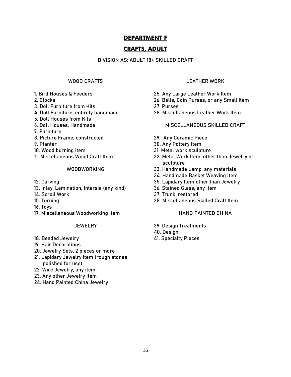# **CRAFTS, ADULT**

#### **DIVISION AS: ADULT 18+ SKILLED CRAFT**

# **WOOD CRAFTS**

- 1. Bird Houses & Feeders
- 2. Clocks
- 3. Doll Furniture from Kits
- 4. Doll Furniture, entirely handmade
- 5. Doll Houses from Kits
- 6. Doll Houses, Handmade
- 7. Furniture
- 8. Picture Frame, constructed
- 9. Planter
- 10. Wood burning item
- 11. Miscellaneous Wood Craft Item

#### **WOODWORKING**

- 12. Carving
- 13. Inlay, Lamination, Intarsia (any kind)
- 14. Scroll Work
- 15. Turning
- 16. Toys
- 17. Miscellaneous Woodworking Item

#### **JEWELRY**

- 18. Beaded Jewelry
- 19. Hair Decorations
- 20. Jewelry Sets, 2 pieces or more
- 21. Lapidary Jewelry item (rough stones polished for use)
- 22. Wire Jewelry, any item
- 23. Any other Jewelry Item
- 24. Hand Painted China Jewelry

#### **LEATHER WORK**

- 25. Any Large Leather Work Item
- 26. Belts, Coin Purses, or any Small Item
- 27. Purses
- 28. Miscellaneous Leather Work Item

#### **MISCELLANEOUS SKILLED CRAFT**

- 29. Any Ceramic Piece
- 30. Any Pottery Item
- 31. Metal work sculpture
- 32. Metal Work Item, other than Jewelry or sculpture
- 33. Handmade Lamp, any materials
- 34. Handmade Basket Weaving Item
- 35. Lapidary Item other than Jewelry
- 36. Stained Glass, any item
- 37. Trunk, restored
- 38. Miscellaneous Skilled Craft Item

#### **HAND PAINTED CHINA**

- 39. Design Treatments
- 40. Design
- 41. Specialty Pieces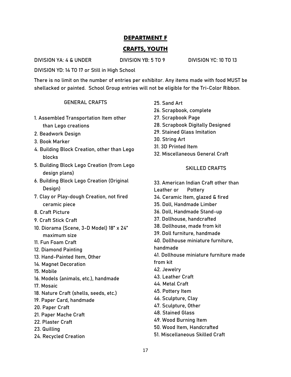# **CRAFTS, YOUTH**

**DIVISION YA: 4 & UNDER DIVISION YB: 5 TO 9 DIVISION YC: 10 TO 13** 

**DIVISION YD: 14 TO 17 or Still in High School**

**There is no limit on the number of entries per exhibitor. Any items made with food MUST be shellacked or painted. School Group entries will not be eligible for the Tri-Color Ribbon.**

## **GENERAL CRAFTS**

- 1. Assembled Transportation Item other than Lego creations
- 2. Beadwork Design
- 3. Book Marker
- 4. Building Block Creation, other than Lego blocks
- 5. Building Block Lego Creation (from Lego design plans)
- 6. Building Block Lego Creation (Original Design)
- 7. Clay or Play-dough Creation, not fired ceramic piece
- 8. Craft Picture
- 9. Craft Stick Craft
- 10. Diorama (Scene, 3-D Model) 18" x 24" maximum size
- 11. Fun Foam Craft
- 12. Diamond Painting
- 13. Hand-Painted Item, Other
- 14. Magnet Decoration
- 15. Mobile
- 16. Models (animals, etc.), handmade
- 17. Mosaic
- 18. Nature Craft (shells, seeds, etc.)
- 19. Paper Card, handmade
- 20. Paper Craft
- 21. Paper Mache Craft
- 22. Plaster Craft
- 23. Quilling
- 24. Recycled Creation
- 25. Sand Art
- 26. Scrapbook, complete
- 27. Scrapbook Page
- 28. Scrapbook Digitally Designed
- 29. Stained Glass Imitation
- 30. String Art
- 31. 3D Printed Item
- 32. Miscellaneous General Craft

## **SKILLED CRAFTS**

33. American Indian Craft other than Leather or Pottery 34. Ceramic Item, glazed & fired 35. Doll, Handmade Limber 36. Doll, Handmade Stand-up 37. Dollhouse, handcrafted 38. Dollhouse, made from kit 39. Doll furniture, handmade 40. Dollhouse miniature furniture, handmade 41. Dollhouse miniature furniture made from kit 42. Jewelry 43. Leather Craft 44. Metal Craft 45. Pottery Item 46. Sculpture, Clay 47. Sculpture, Other 48. Stained Glass 49. Wood Burning Item 50. Wood Item, Handcrafted 51. Miscellaneous Skilled Craft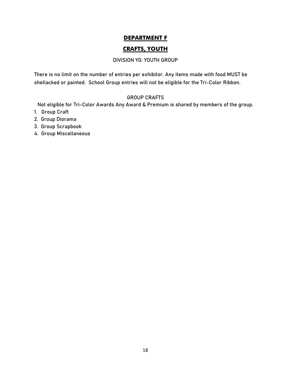# **CRAFTS, YOUTH**

#### **DIVISION YG: YOUTH GROUP**

**There is no limit on the number of entries per exhibitor. Any items made with food MUST be shellacked or painted. School Group entries will not be eligible for the Tri-Color Ribbon.**

#### **GROUP CRAFTS**

Not eligible for Tri-Color Awards Any Award & Premium is shared by members of the group.

- 1. Group Craft
- 2. Group Diorama
- 3. Group Scrapbook
- 4. Group Miscellaneous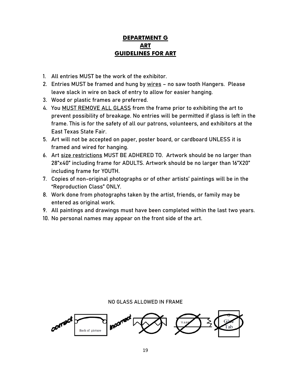# **DEPARTMENT G ART GUIDELINES FOR ART**

- 1. All entries MUST be the work of the exhibitor.
- 2. Entries MUST be framed and hung by wires no saw tooth Hangers. Please leave slack in wire on back of entry to allow for easier hanging.
- 3. Wood or plastic frames are preferred.
- 4. You **MUST REMOVE ALL GLASS** from the frame prior to exhibiting the art to prevent possibility of breakage. No entries will be permitted if glass is left in the frame. This is for the safety of all our patrons, volunteers, and exhibitors at the East Texas State Fair.
- 5. Art will not be accepted on paper, poster board, or cardboard UNLESS it is framed and wired for hanging.
- 6. Art size restrictions MUST BE ADHERED TO. **Artwork should be no larger than 28"x40" including frame for ADULTS. Artwork should be no larger than 16"X20" including frame for YOUTH.**
- 7. Copies of non-original photographs or of other artists' paintings will be in the "Reproduction Class" ONLY.
- 8. Work done from photographs taken by the artist, friends, or family may be entered as original work.
- 9. All paintings and drawings must have been completed within the last **two** years.
- 10. No personal names may appear on the front side of the art.

**NO GLASS ALLOWED IN FRAME**

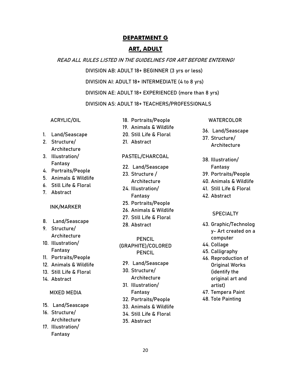# **ART, ADULT**

#### **READ ALL RULES LISTED IN THE GUIDELINES FOR ART BEFORE ENTERING!**

**DIVISION AB: ADULT 18+ BEGINNER (3 yrs or less)**

**DIVISION AI: ADULT 18+ INTERMEDIATE (4 to 8 yrs)**

**DIVISION AE: ADULT 18+ EXPERIENCED (more than 8 yrs)**

**DIVISION AS: ADULT 18+ TEACHERS/PROFESSIONALS**

#### **ACRYLIC/OIL**

- 1. Land/Seascape
- 2. Structure/ Architecture
- 3. Illustration/ Fantasy
- 4. Portraits/People
- 5. Animals & Wildlife
- 6. Still Life & Floral
- 7. Abstract

#### **INK/MARKER**

- 8. Land/Seascape
- 9. Structure/ Architecture
- 10. Illustration/ Fantasy
- 11. Portraits/People
- 12. Animals & Wildlife
- 13. Still Life & Floral
- 14. Abstract

#### **MIXED MEDIA**

- 15. Land/Seascape
- 16. Structure/ Architecture
- 17. Illustration/ Fantasy
- 18. Portraits/People 19. Animals & Wildlife
- 20. Still Life & Floral
- 21. Abstract

#### **PASTEL/CHARCOAL**

- 22. Land/Seascape
- 23. Structure / **Architecture**
- 24. Illustration/ Fantasy
- 25. Portraits/People
- 26. Animals & Wildlife
- 27. Still Life & Floral
- 28. Abstract

**PENCIL (GRAPHITE)/COLORED PENCIL**

- 29. Land/Seascape
- 30. Structure/ Architecture
- 31. Illustration/ Fantasy
- 32. Portraits/People
- 33. Animals & Wildlife
- 34. Still Life & Floral
- 35. Abstract

#### **WATERCOLOR**

- 36. Land/Seascape
- 37. Structure/ Architecture
- 38. Illustration/ Fantasy
- 39. Portraits/People
- 40. Animals & Wildlife
- 41. Still Life & Floral
- 42. Abstract

#### **SPECIALTY**

- 43. Graphic/Technolog y- Art created on a computer
- 44. Collage
- 45. Calligraphy
- 46. Reproduction of Original Works (identify the original art and artist)
- 47. Tempera Paint
- 48. Tole Painting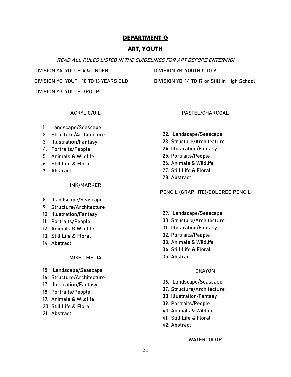# **ART, YOUTH**

#### **READ ALL RULES LISTED IN THE GUIDELINES FOR ART BEFORE ENTERING!**

**DIVISION YA: YOUTH 4 & UNDER DIVISION YB: YOUTH 5 TO 9 DIVISION YG: YOUTH GROUP**

**DIVISION YC: YOUTH 10 TO 13 YEARS OLD DIVISION YD: 14 TO 17 or Still in High School**

**PASTEL/CHARCOAL**

#### **ACRYLIC/OIL**

- 1. Landscape/Seascape
- 2. Structure/Architecture
- 3. Illustration/Fantasy
- 4. Portraits/People
- 5. Animals & Wildlife
- 6. Still Life & Floral
- 7. Abstract

#### **INK/MARKER**

- 8. Landscape/Seascape
- 9. Structure/Architecture
- 10. Illustration/Fantasy
- 11. Portraits/People
- 12. Animals & Wildlife
- 13. Still Life & Floral
- 14. Abstract

#### **MIXED MEDIA**

- 15. Landscape/Seascape
- 16. Structure/Architecture
- 17. Illustration/Fantasy
- 18. Portraits/People
- 19. Animals & Wildlife
- 20. Still Life & Floral
- 21. Abstract
- 22. Landscape/Seascape
- 23. Structure/Architecture
- 24. Illustration/Fantasy
- 25. Portraits/People
- 26. Animals & Wildlife
- 27. Still Life & Floral
- 28. Abstract

**PENCIL (GRAPHITE)/COLORED PENCIL**

- 29. Landscape/Seascape
- 30. Structure/Architecture
- 31. Illustration/Fantasy
- 32. Portraits/People
- 33. Animals & Wildlife
- 34. Still Life & Floral
- 35. Abstract

#### **CRAYON**

- 36. Landscape/Seascape
- 37. Structure/Architecture
- 38. Illustration/Fantasy
- 39. Portraits/People
- 40. Animals & Wildlife
- 41. Still Life & Floral
- 42. Abstract

**WATERCOLOR**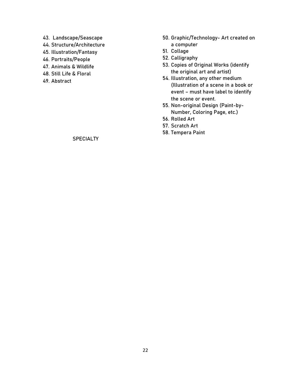- 43. Landscape/Seascape
- 44. Structure/Architecture
- 45. Illustration/Fantasy
- 46. Portraits/People
- 47. Animals & Wildlife
- 48. Still Life & Floral
- 49. Abstract
- 50. Graphic/Technology- Art created on a computer
- 51. Collage
- 52. Calligraphy
- 53. Copies of Original Works (identify the original art and artist)
- 54. Illustration, any other medium (Illustration of a scene in a book or event – must have label to identify the scene or event.
- 55. Non-original Design (Paint-by-Number, Coloring Page, etc.)
- 56. Rolled Art
- 57. Scratch Art
- 58. Tempera Paint

# **SPECIALTY**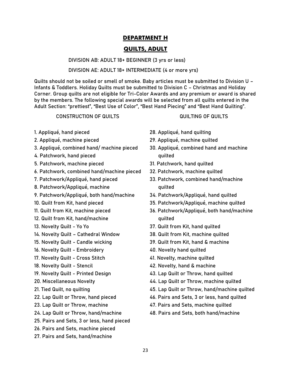# **QUILTS, ADULT**

**DIVISION AB: ADULT 18+ BEGINNER (3 yrs or less)**

#### **DIVISION AE: ADULT 18+ INTERMEDIATE (4 or more yrs)**

Quilts should not be soiled or smell of smoke. Baby articles must be submitted to Division U – Infants & Toddlers. Holiday Quilts must be submitted to Division C – Christmas and Holiday Corner. Group quilts are not eligible for Tri-Color Awards and any premium or award is shared by the members. The following special awards will be selected from all quilts entered in the Adult Section: "prettiest", "Best Use of Color", "Best Hand Piecing" and "Best Hand Quilting".

#### **CONSTRUCTION OF QUILTS**

- 1. Appliqué, hand pieced
- 2. Appliqué, machine pieced
- 3. Appliqué, combined hand/ machine pieced
- 4. Patchwork, hand pieced
- 5. Patchwork, machine pieced
- 6. Patchwork, combined hand/machine pieced
- 7. Patchwork/Appliqué, hand pieced
- 8. Patchwork/Appliqué, machine
- 9. Patchwork/Appliqué, both hand/machine
- 10. Quilt from Kit, hand pieced
- 11. Quilt from Kit, machine pieced
- 12. Quilt from Kit, hand/machine
- 13. Novelty Quilt Yo Yo
- 14. Novelty Quilt Cathedral Window
- 15. Novelty Quilt Candle wicking
- 16. Novelty Quilt Embroidery
- 17. Novelty Quilt Cross Stitch
- 18. Novelty Quilt Stencil
- 19. Novelty Quilt Printed Design
- 20. Miscellaneous Novelty
- 21. Tied Quilt, no quilting
- 22. Lap Quilt or Throw, hand pieced
- 23. Lap Quilt or Throw, machine
- 24. Lap Quilt or Throw, hand/machine
- 25. Pairs and Sets, 3 or less, hand pieced
- 26. Pairs and Sets, machine pieced
- 27. Pairs and Sets, hand/machine
- 28. Appliqué, hand quilting
- 29. Appliqué, machine quilted
- 30. Appliqué, combined hand and machine quilted

**QUILTING OF QUILTS**

- 31. Patchwork, hand quilted
- 32. Patchwork, machine quilted
- 33. Patchwork, combined hand/machine quilted
- 34. Patchwork/Appliqué, hand quilted
- 35. Patchwork/Appliqué, machine quilted
- 36. Patchwork/Appliqué, both hand/machine quilted
- 37. Quilt from Kit, hand quilted
- 38. Quilt from Kit, machine quilted
- 39. Quilt from Kit, hand & machine
- 40. Novelty hand quilted
- 41. Novelty, machine quilted
- 42. Novelty, hand & machine
- 43. Lap Quilt or Throw, hand quilted
- 44. Lap Quilt or Throw, machine quilted
- 45. Lap Quilt or Throw, hand/machine quilted
- 46. Pairs and Sets, 3 or less, hand quilted
- 47. Pairs and Sets, machine quilted
- 48. Pairs and Sets, both hand/machine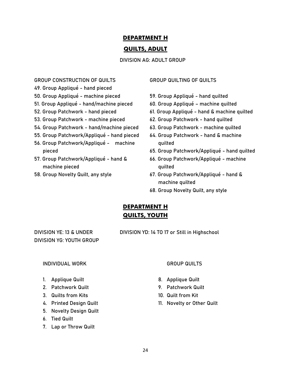# **QUILTS, ADULT**

**DIVISION AG: ADULT GROUP**

#### **GROUP CONSTRUCTION OF QUILTS**

- 49. Group Appliqué hand pieced
- 50. Group Appliqué machine pieced
- 51. Group Appliqué hand/machine pieced
- 52. Group Patchwork hand pieced
- 53. Group Patchwork machine pieced
- 54. Group Patchwork hand/machine pieced
- 55. Group Patchwork/Appliqué hand pieced
- 56. Group Patchwork/Appliqué machine pieced
- 57. Group Patchwork/Appliqué hand & machine pieced
- 58. Group Novelty Quilt, any style

#### **GROUP QUILTING OF QUILTS**

- 59. Group Appliqué hand quilted
- 60. Group Appliqué machine quilted
- 61. Group Appliqué hand & machine quilted
- 62. Group Patchwork hand quilted
- 63. Group Patchwork machine quilted
- 64. Group Patchwork hand & machine quilted
- 65. Group Patchwork/Appliqué hand quilted
- 66. Group Patchwork/Appliqué machine quilted
- 67. Group Patchwork/Appliqué hand & machine quilted
- 68. Group Novelty Quilt, any style

# **DEPARTMENT H QUILTS, YOUTH**

**DIVISION YG: YOUTH GROUP**

**DIVISION YE: 13 & UNDER DIVISION YD: 14 TO 17 or Still in Highschool**

#### **INDIVIDUAL WORK**

- 1. Applique Quilt
- 2. Patchwork Quilt
- 3. Quilts from Kits
- 4. Printed Design Quilt
- 5. Novelty Design Quilt
- 6. Tied Quilt
- 7. Lap or Throw Quilt

#### **GROUP QUILTS**

- 8. Applique Quilt
- 9. Patchwork Quilt
- 10. Quilt from Kit
- 11. Novelty or Other Quilt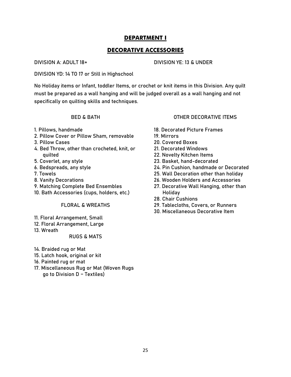# **DECORATIVE ACCESSORIES**

#### **DIVISION A: ADULT 18+ DIVISION YE: 13 & UNDER**

**DIVISION YD: 14 TO 17 or Still in Highschool**

No Holiday items or Infant, toddler Items, or crochet or knit items in this Division. Any quilt must be prepared as a wall hanging and will be judged overall as a wall hanging and not specifically on quilting skills and techniques.

#### **BED & BATH**

- 1. Pillows, handmade
- 2. Pillow Cover or Pillow Sham, removable
- 3. Pillow Cases
- 4. Bed Throw, other than crocheted, knit, or quilted
- 5. Coverlet, any style
- 6. Bedspreads, any style
- 7. Towels
- 8. Vanity Decorations
- 9. Matching Complete Bed Ensembles
- 10. Bath Accessories (cups, holders, etc.)

#### **FLORAL & WREATHS**

- 11. Floral Arrangement, Small
- 12. Floral Arrangement, Large
- 13. Wreath

#### **RUGS & MATS**

- 14. Braided rug or Mat
- 15. Latch hook, original or kit
- 16. Painted rug or mat
- 17. Miscellaneous Rug or Mat (Woven Rugs go to Division D – Textiles)

#### **OTHER DECORATIVE ITEMS**

- 18. Decorated Picture Frames
- 19. Mirrors
- 20. Covered Boxes
- 21. Decorated Windows
- 22. Novelty Kitchen Items
- 23. Basket, hand-decorated
- 24. Pin Cushion, handmade or Decorated
- 25. Wall Decoration other than holiday
- 26. Wooden Holders and Accessories
- 27. Decorative Wall Hanging, other than Holiday
- 28. Chair Cushions
- 29. Tablecloths, Covers, or Runners
- 30. Miscellaneous Decorative Item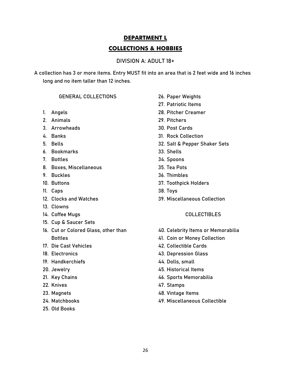# **DEPARTMENT L COLLECTIONS & HOBBIES**

## **DIVISION A: ADULT 18+**

A collection has 3 or more items. Entry **MUST** fit into an area that is 2 feet wide and 16 inches long and no item taller than 12 inches.

## **GENERAL COLLECTIONS**

- 1. Angels
- 2. Animals
- 3. Arrowheads
- 4. Banks
- 5. Bells
- 6. Bookmarks
- 7. Bottles
- 8. Boxes, Miscellaneous
- 9. Buckles
- 10. Buttons
- 11. Caps
- 12. Clocks and Watches
- 13. Clowns
- 14. Coffee Mugs
- 15. Cup & Saucer Sets
- 16. Cut or Colored Glass, other than **Bottles**
- 17. Die Cast Vehicles
- 18. Electronics
- 19. Handkerchiefs
- 20. Jewelry
- 21. Key Chains
- 22. Knives
- 23. Magnets
- 24. Matchbooks
- 25. Old Books
- 26. Paper Weights
- 27. Patriotic Items
- 28. Pitcher Creamer
- 29. Pitchers
- 30. Post Cards
- 31. Rock Collection
- 32. Salt & Pepper Shaker Sets
- 33. Shells
- 34. Spoons
- 35. Tea Pots
- 36. Thimbles
- 37. Toothpick Holders
- 38. Toys
- 39. Miscellaneous Collection

#### **COLLECTIBLES**

- 40. Celebrity Items or Memorabilia
- 41. Coin or Money Collection
- 42. Collectible Cards
- 43. Depression Glass
- 44. Dolls, small
- 45. Historical Items
- 46. Sports Memorabilia
- 47. Stamps
- 48. Vintage Items
- 49. Miscellaneous Collectible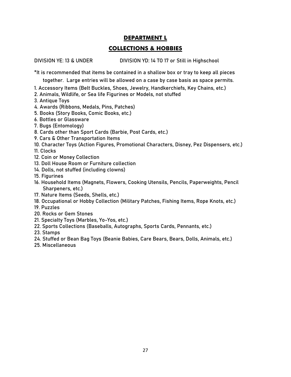# **COLLECTIONS & HOBBIES**

**DIVISION YE: 13 & UNDER DIVISION YD: 14 TO 17 or Still in Highschool**

\*It is recommended that items be contained in a shallow box or tray to keep all pieces

together. Large entries will be allowed on a case by case basis as space permits.

- 1. Accessory Items (Belt Buckles, Shoes, Jewelry, Handkerchiefs, Key Chains, etc.)
- 2. Animals, Wildlife, or Sea life Figurines or Models, not stuffed
- 3. Antique Toys
- 4. Awards (Ribbons, Medals, Pins, Patches)
- 5. Books (Story Books, Comic Books, etc.)
- 6. Bottles or Glassware
- 7. Bugs (Entomology)
- 8. Cards other than Sport Cards (Barbie, Post Cards, etc.)
- 9. Cars & Other Transportation Items
- 10. Character Toys (Action Figures, Promotional Characters, Disney, Pez Dispensers, etc.)

11. Clocks

- 12. Coin or Money Collection
- 13. Doll House Room or Furniture collection
- 14. Dolls, not stuffed (including clowns)
- 15. Figurines
- 16. Household Items (Magnets, Flowers, Cooking Utensils, Pencils, Paperweights, Pencil Sharpeners, etc.)
- 17. Nature Items (Seeds, Shells, etc.)
- 18. Occupational or Hobby Collection (Military Patches, Fishing Items, Rope Knots, etc.)
- 19. Puzzles
- 20. Rocks or Gem Stones
- 21. Specialty Toys (Marbles, Yo-Yos, etc.)
- 22. Sports Collections (Baseballs, Autographs, Sports Cards, Pennants, etc.)
- 23. Stamps
- 24. Stuffed or Bean Bag Toys (Beanie Babies, Care Bears, Bears, Dolls, Animals, etc.)
- 25. Miscellaneous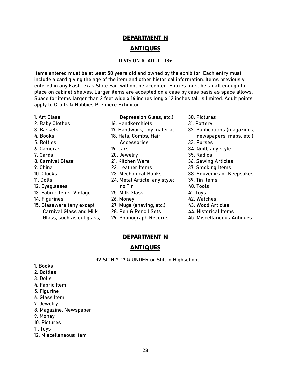# **DEPARTMENT N ANTIQUES**

#### **DIVISION A: ADULT 18+**

Items entered must be at least **50 years** old and owned by the exhibitor. Each entry must include a card giving the age of the item and other historical information. **Items previously entered in any East Texas State Fair will not be accepted.** Entries must be small enough to place on cabinet shelves. Larger items are accepted on a case by case basis as space allows. Space for items larger than 2 feet wide x 16 inches long x 12 inches tall is limited. Adult points apply to Crafts & Hobbies Premiere Exhibitor.

- 1. Art Glass
- 2. Baby Clothes
- 3. Baskets
- 4. Books
- 5. Bottles
- 6. Cameras
- 7. Cards
- 8. Carnival Glass
- 9. China
- 10. Clocks
- 11. Dolls
- 12. Eyeglasses
- 13. Fabric Items, Vintage
- 14. Figurines
- 15. Glassware (any except Carnival Glass and Milk Glass, such as cut glass,
- Depression Glass, etc.) 16. Handkerchiefs 17. Handwork, any material 18. Hats, Combs, Hair Accessories 19. Jars 20. Jewelry 21. Kitchen Ware 22. Leather Items 23. Mechanical Banks 24. Metal Article, any style; no Tin 25. Milk Glass 26. Money 27. Mugs (shaving, etc.) 28. Pen & Pencil Sets 29. Phonograph Records
- 30. Pictures
- 31. Pottery
- 32. Publications (magazines, newspapers, maps, etc.)
- 33. Purses
- 34. Quilt, any style
- 
- 36. Sewing Articles
- 
- 38. Souvenirs or Keepsakes
- 39. Tin Items
- 40. Tools
- 41. Toys
- 42. Watches
- 43. Wood Articles
- 44. Historical Items
- 45. Miscellaneous Antiques

#### **DEPARTMENT N**

#### **ANTIQUES**

**DIVISION Y: 17 & UNDER or Still in Highschool**

- 1. Books
- 2. Bottles
- 3. Dolls
- 4. Fabric Item
- 5. Figurine
- 6. Glass Item
- 7. Jewelry
- 8. Magazine, Newspaper
- 9. Money
- 10. Pictures
- 11. Toys
- 12. Miscellaneous Item
- -
	-
	-
	- 35. Radios
	-
	- 37. Smoking Items
	-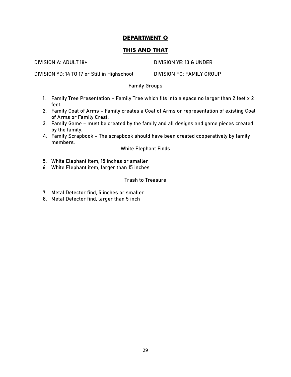# **THIS AND THAT**

**DIVISION A: ADULT 18+ DIVISION YE: 13 & UNDER** 

**DIVISION YD: 14 TO 17 or Still in Highschool DIVISION FG: FAMILY GROUP**

# **Family Groups**

- 1. Family Tree Presentation Family Tree which fits into a space no larger than 2 feet x 2 feet.
- 2. Family Coat of Arms Family creates a Coat of Arms or representation of existing Coat of Arms or Family Crest.
- 3. Family Game must be created by the family and all designs and game pieces created by the family.
- 4. Family Scrapbook The scrapbook should have been created cooperatively by family members.

**White Elephant Finds**

- 5. White Elephant item, 15 inches or smaller
- 6. White Elephant item, larger than 15 inches

# **Trash to Treasure**

- 7. Metal Detector find, 5 inches or smaller
- 8. Metal Detector find, larger than 5 inch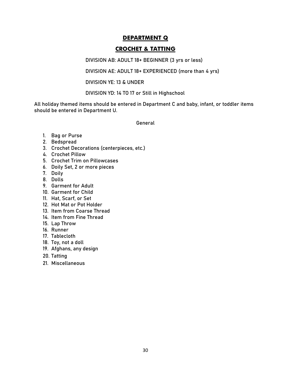# **CROCHET & TATTING**

**DIVISION AB: ADULT 18+ BEGINNER (3 yrs or less)**

**DIVISION AE: ADULT 18+ EXPERIENCED (more than 4 yrs)**

**DIVISION YE: 13 & UNDER**

**DIVISION YD: 14 TO 17 or Still in Highschool**

All holiday themed items should be entered in Department C and baby, infant, or toddler items should be entered in Department U.

**General**

- 1. Bag or Purse
- 2. Bedspread
- 3. Crochet Decorations (centerpieces, etc.)
- 4. Crochet Pillow
- 5. Crochet Trim on Pillowcases
- 6. Doily Set, 2 or more pieces
- 7. Doily
- 8. Dolls
- 9. Garment for Adult
- 10. Garment for Child
- 11. Hat, Scarf, or Set
- 12. Hot Mat or Pot Holder
- 13. Item from Coarse Thread
- 14. Item from Fine Thread
- 15. Lap Throw
- 16. Runner
- 17. Tablecloth
- 18. Toy, not a doll
- 19. Afghans, any design
- 20. Tatting
- 21. Miscellaneous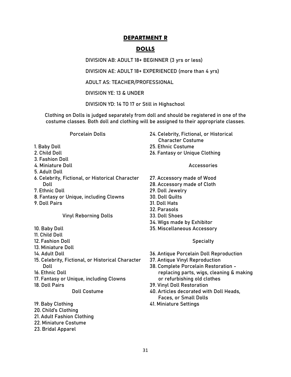# **DOLLS**

**DIVISION AB: ADULT 18+ BEGINNER (3 yrs or less)**

**DIVISION AE: ADULT 18+ EXPERIENCED (more than 4 yrs)**

**ADULT AS: TEACHER/PROFESSIONAL**

**DIVISION YE: 13 & UNDER**

**DIVISION YD: 14 TO 17 or Still in Highschool**

Clothing on Dolls is judged separately from doll and should be registered in one of the costume classes. Both doll and clothing will be assigned to their appropriate classes.

**Porcelain Dolls**

- 1. Baby Doll
- 2. Child Doll
- 3. Fashion Doll
- 4. Miniature Doll
- 5. Adult Doll
- 6. Celebrity, Fictional, or Historical Character Doll
- 7. Ethnic Doll
- 8. Fantasy or Unique, including Clowns
- 9. Doll Pairs

#### **Vinyl Reborning Dolls**

- 10. Baby Doll
- 11. Child Doll
- 12. Fashion Doll
- 13. Miniature Doll
- 14. Adult Doll
- 15. Celebrity, Fictional, or Historical Character Doll
- 16. Ethnic Doll
- 17. Fantasy or Unique, including Clowns
- 18. Doll Pairs

#### **Doll Costume**

- 19. Baby Clothing
- 20. Child's Clothing
- 21. Adult Fashion Clothing
- 22. Miniature Costume
- 23. Bridal Apparel
- 24. Celebrity, Fictional, or Historical Character Costume
- 25. Ethnic Costume
- 26. Fantasy or Unique Clothing

**Accessories**

- 27. Accessory made of Wood
- 28. Accessory made of Cloth
- 29. Doll Jewelry
- 30. Doll Quilts
- 31. Doll Hats
- 32. Parasols
- 33. Doll Shoes
- 34. Wigs made by Exhibitor
- 35. Miscellaneous Accessory

#### **Specialty**

- 36. Antique Porcelain Doll Reproduction
- 37. Antique Vinyl Reproduction
- 38. Complete Porcelain Restoration replacing parts, wigs, cleaning & making or refurbishing old clothes
- 39. Vinyl Doll Restoration
- 40. Articles decorated with Doll Heads, Faces, or Small Dolls
- 41. Miniature Settings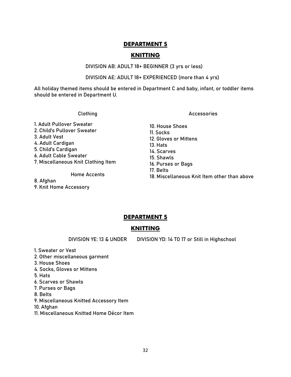# **KNITTING**

#### **DIVISION AB: ADULT 18+ BEGINNER (3 yrs or less)**

#### **DIVISION AE: ADULT 18+ EXPERIENCED (more than 4 yrs)**

All holiday themed items should be entered in Department C and baby, infant, or toddler items should be entered in Department U.

#### **Clothing**

1. Adult Pullover Sweater 2. Child's Pullover Sweater 3. Adult Vest 4. Adult Cardigan 5. Child's Cardigan 6. Adult Cable Sweater 7. Miscellaneous Knit Clothing Item

#### **Home Accents**

8. Afghan 9. Knit Home Accessory **Accessories**

- 10. House Shoes 11. Socks 12. Gloves or Mittens 13. Hats 14. Scarves 15. Shawls 16. Purses or Bags 17. Belts
- 18. Miscellaneous Knit Item other than above

# **DEPARTMENT S**

# **KNITTING**

**DIVISION YE: 13 & UNDER DIVISION YD: 14 TO 17 or Still in Highschool**

- 1. Sweater or Vest
- 2. Other miscellaneous garment
- 3. House Shoes
- 4. Socks, Gloves or Mittens
- 5. Hats
- 6. Scarves or Shawls
- 7. Purses or Bags
- 8. Belts
- 9. Miscellaneous Knitted Accessory Item
- 10. Afghan
- 11. Miscellaneous Knitted Home Décor Item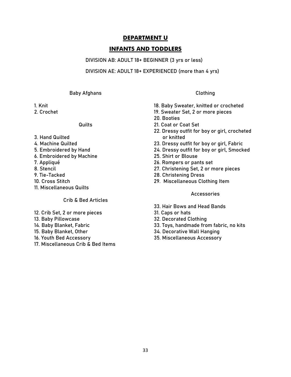# **INFANTS AND TODDLERS**

#### **DIVISION AB: ADULT 18+ BEGINNER (3 yrs or less)**

#### **DIVISION AE: ADULT 18+ EXPERIENCED (more than 4 yrs)**

#### **Baby Afghans**

- 1. Knit
- 2. Crochet

#### **Quilts**

- 3. Hand Quilted
- 4. Machine Quilted
- 5. Embroidered by Hand
- 6. Embroidered by Machine
- 7. Appliqué
- 8. Stencil
- 9. Tie-Tacked
- 10. Cross Stitch
- 11. Miscellaneous Quilts

#### **Crib & Bed Articles**

- 12. Crib Set, 2 or more pieces
- 13. Baby Pillowcase
- 14. Baby Blanket, Fabric
- 15. Baby Blanket, Other
- 16. Youth Bed Accessory
- 17. Miscellaneous Crib & Bed Items

#### **Clothing**

- 18. Baby Sweater, knitted or crocheted
- 19. Sweater Set, 2 or more pieces
- 20. Booties
- 21. Coat or Coat Set
- 22. Dressy outfit for boy or girl, crocheted or knitted
- 23. Dressy outfit for boy or girl, Fabric
- 24. Dressy outfit for boy or girl, Smocked
- 25. Shirt or Blouse
- 26. Rompers or pants set
- 27. Christening Set, 2 or more pieces
- 28. Christening Dress
- 29. Miscellaneous Clothing Item

#### **Accessories**

- 33. Hair Bows and Head Bands
- 31. Caps or hats
- 32. Decorated Clothing
- 33. Toys, handmade from fabric, no kits
- 34. Decorative Wall Hanging
- 35. Miscellaneous Accessory